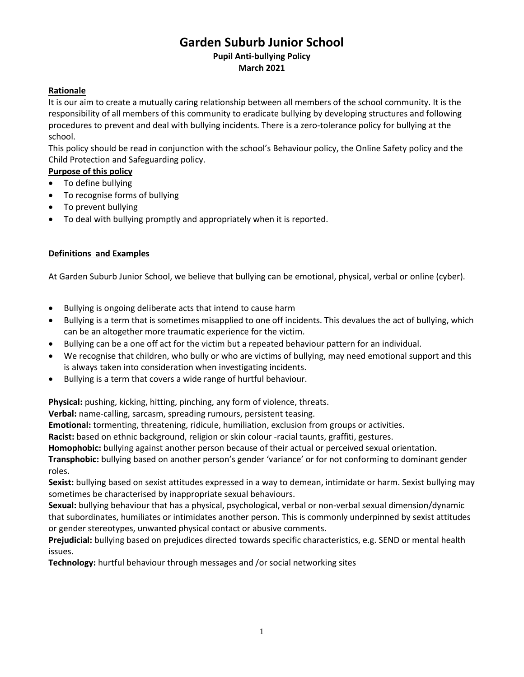# **Garden Suburb Junior School Pupil Anti-bullying Policy March 2021**

# **Rationale**

It is our aim to create a mutually caring relationship between all members of the school community. It is the responsibility of all members of this community to eradicate bullying by developing structures and following procedures to prevent and deal with bullying incidents. There is a zero-tolerance policy for bullying at the school.

This policy should be read in conjunction with the school's Behaviour policy, the Online Safety policy and the Child Protection and Safeguarding policy.

# **Purpose of this policy**

- To define bullying
- To recognise forms of bullying
- To prevent bullying
- To deal with bullying promptly and appropriately when it is reported.

# **Definitions and Examples**

At Garden Suburb Junior School, we believe that bullying can be emotional, physical, verbal or online (cyber).

- Bullying is ongoing deliberate acts that intend to cause harm
- Bullying is a term that is sometimes misapplied to one off incidents. This devalues the act of bullying, which can be an altogether more traumatic experience for the victim.
- Bullying can be a one off act for the victim but a repeated behaviour pattern for an individual.
- We recognise that children, who bully or who are victims of bullying, may need emotional support and this is always taken into consideration when investigating incidents.
- Bullying is a term that covers a wide range of hurtful behaviour.

**Physical:** pushing, kicking, hitting, pinching, any form of violence, threats.

**Verbal:** name-calling, sarcasm, spreading rumours, persistent teasing.

**Emotional:** tormenting, threatening, ridicule, humiliation, exclusion from groups or activities.

**Racist:** based on ethnic background, religion or skin colour -racial taunts, graffiti, gestures.

**Homophobic:** bullying against another person because of their actual or perceived sexual orientation.

**Transphobic:** bullying based on another person's gender 'variance' or for not conforming to dominant gender roles.

**Sexist:** bullying based on sexist attitudes expressed in a way to demean, intimidate or harm. Sexist bullying may sometimes be characterised by inappropriate sexual behaviours.

**Sexual:** bullying behaviour that has a physical, psychological, verbal or non-verbal sexual dimension/dynamic that subordinates, humiliates or intimidates another person. This is commonly underpinned by sexist attitudes or gender stereotypes, unwanted physical contact or abusive comments.

**Prejudicial:** bullying based on prejudices directed towards specific characteristics, e.g. SEND or mental health issues.

**Technology:** hurtful behaviour through messages and /or social networking sites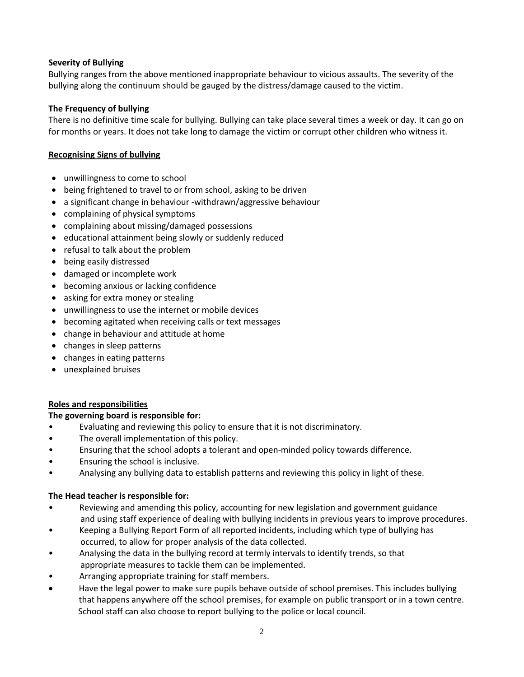# **Severity of Bullying**

Bullying ranges from the above mentioned inappropriate behaviour to vicious assaults. The severity of the bullying along the continuum should be gauged by the distress/damage caused to the victim.

# **The Frequency of bullying**

There is no definitive time scale for bullying. Bullying can take place several times a week or day. It can go on for months or years. It does not take long to damage the victim or corrupt other children who witness it.

# **Recognising Signs of bullying**

- unwillingness to come to school
- being frightened to travel to or from school, asking to be driven
- a significant change in behaviour -withdrawn/aggressive behaviour
- complaining of physical symptoms
- complaining about missing/damaged possessions
- educational attainment being slowly or suddenly reduced
- refusal to talk about the problem
- being easily distressed
- damaged or incomplete work
- becoming anxious or lacking confidence
- asking for extra money or stealing
- unwillingness to use the internet or mobile devices
- becoming agitated when receiving calls or text messages
- change in behaviour and attitude at home
- changes in sleep patterns
- changes in eating patterns
- unexplained bruises

## **Roles and responsibilities**

## **The governing board is responsible for:**

- Evaluating and reviewing this policy to ensure that it is not discriminatory.
- The overall implementation of this policy.
- Ensuring that the school adopts a tolerant and open-minded policy towards difference.
- Ensuring the school is inclusive.
- Analysing any bullying data to establish patterns and reviewing this policy in light of these.

## **The Head teacher is responsible for:**

- Reviewing and amending this policy, accounting for new legislation and government guidance and using staff experience of dealing with bullying incidents in previous years to improve procedures.
- Keeping a Bullying Report Form of all reported incidents, including which type of bullying has occurred, to allow for proper analysis of the data collected.
- Analysing the data in the bullying record at termly intervals to identify trends, so that appropriate measures to tackle them can be implemented.
- Arranging appropriate training for staff members.
- Have the legal power to make sure pupils behave outside of school premises. This includes bullying that happens anywhere off the school premises, for example on public transport or in a town centre. School staff can also choose to report bullying to the police or local council.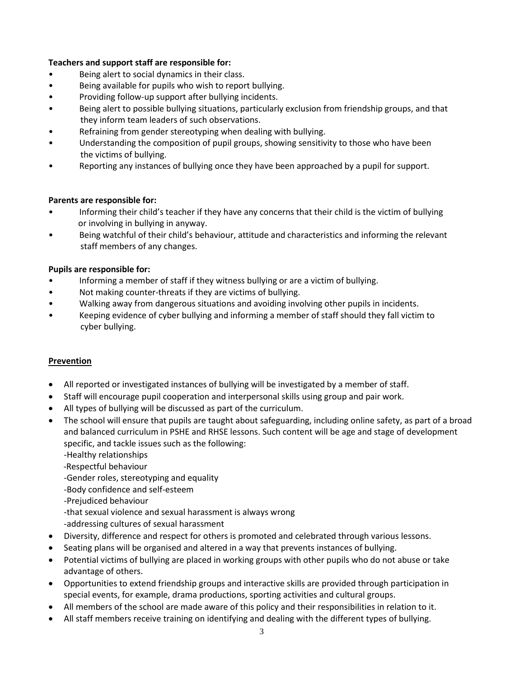## **Teachers and support staff are responsible for:**

- Being alert to social dynamics in their class.
- Being available for pupils who wish to report bullying.
- Providing follow-up support after bullying incidents.
- Being alert to possible bullying situations, particularly exclusion from friendship groups, and that they inform team leaders of such observations.
- Refraining from gender stereotyping when dealing with bullying.
- Understanding the composition of pupil groups, showing sensitivity to those who have been the victims of bullying.
- Reporting any instances of bullying once they have been approached by a pupil for support.

# **Parents are responsible for:**

- Informing their child's teacher if they have any concerns that their child is the victim of bullying or involving in bullying in anyway.
- Being watchful of their child's behaviour, attitude and characteristics and informing the relevant staff members of any changes.

## **Pupils are responsible for:**

- Informing a member of staff if they witness bullying or are a victim of bullying.
- Not making counter-threats if they are victims of bullying.
- Walking away from dangerous situations and avoiding involving other pupils in incidents.
- Keeping evidence of cyber bullying and informing a member of staff should they fall victim to cyber bullying.

## **Prevention**

- All reported or investigated instances of bullying will be investigated by a member of staff.
- Staff will encourage pupil cooperation and interpersonal skills using group and pair work.
- All types of bullying will be discussed as part of the curriculum.
- The school will ensure that pupils are taught about safeguarding, including online safety, as part of a broad and balanced curriculum in PSHE and RHSE lessons. Such content will be age and stage of development specific, and tackle issues such as the following:
	- -Healthy relationships
	- -Respectful behaviour
	- -Gender roles, stereotyping and equality
	- -Body confidence and self-esteem
	- -Prejudiced behaviour
	- -that sexual violence and sexual harassment is always wrong
	- -addressing cultures of sexual harassment
- Diversity, difference and respect for others is promoted and celebrated through various lessons.
- Seating plans will be organised and altered in a way that prevents instances of bullying.
- Potential victims of bullying are placed in working groups with other pupils who do not abuse or take advantage of others.
- Opportunities to extend friendship groups and interactive skills are provided through participation in special events, for example, drama productions, sporting activities and cultural groups.
- All members of the school are made aware of this policy and their responsibilities in relation to it.
- All staff members receive training on identifying and dealing with the different types of bullying.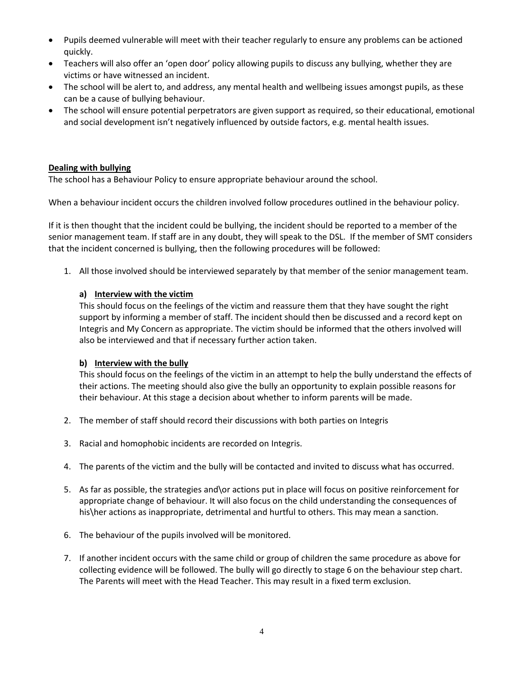- Pupils deemed vulnerable will meet with their teacher regularly to ensure any problems can be actioned quickly.
- Teachers will also offer an 'open door' policy allowing pupils to discuss any bullying, whether they are victims or have witnessed an incident.
- The school will be alert to, and address, any mental health and wellbeing issues amongst pupils, as these can be a cause of bullying behaviour.
- The school will ensure potential perpetrators are given support as required, so their educational, emotional and social development isn't negatively influenced by outside factors, e.g. mental health issues.

## **Dealing with bullying**

The school has a Behaviour Policy to ensure appropriate behaviour around the school.

When a behaviour incident occurs the children involved follow procedures outlined in the behaviour policy.

If it is then thought that the incident could be bullying, the incident should be reported to a member of the senior management team. If staff are in any doubt, they will speak to the DSL. If the member of SMT considers that the incident concerned is bullying, then the following procedures will be followed:

1. All those involved should be interviewed separately by that member of the senior management team.

# **a) Interview with the victim**

This should focus on the feelings of the victim and reassure them that they have sought the right support by informing a member of staff. The incident should then be discussed and a record kept on Integris and My Concern as appropriate. The victim should be informed that the others involved will also be interviewed and that if necessary further action taken.

## **b) Interview with the bully**

This should focus on the feelings of the victim in an attempt to help the bully understand the effects of their actions. The meeting should also give the bully an opportunity to explain possible reasons for their behaviour. At this stage a decision about whether to inform parents will be made.

- 2. The member of staff should record their discussions with both parties on Integris
- 3. Racial and homophobic incidents are recorded on Integris.
- 4. The parents of the victim and the bully will be contacted and invited to discuss what has occurred.
- 5. As far as possible, the strategies and\or actions put in place will focus on positive reinforcement for appropriate change of behaviour. It will also focus on the child understanding the consequences of his\her actions as inappropriate, detrimental and hurtful to others. This may mean a sanction.
- 6. The behaviour of the pupils involved will be monitored.
- 7. If another incident occurs with the same child or group of children the same procedure as above for collecting evidence will be followed. The bully will go directly to stage 6 on the behaviour step chart. The Parents will meet with the Head Teacher. This may result in a fixed term exclusion.